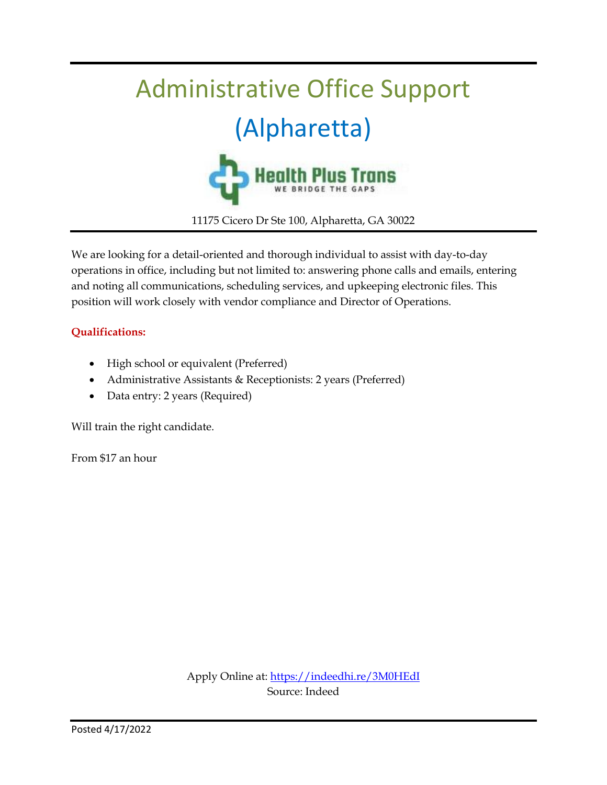

We are looking for a detail-oriented and thorough individual to assist with day-to-day operations in office, including but not limited to: answering phone calls and emails, entering and noting all communications, scheduling services, and upkeeping electronic files. This position will work closely with vendor compliance and Director of Operations.

#### **Qualifications:**

- High school or equivalent (Preferred)
- Administrative Assistants & Receptionists: 2 years (Preferred)
- Data entry: 2 years (Required)

Will train the right candidate.

From \$17 an hour

Apply Online at[: https://indeedhi.re/3M0HEdI](https://indeedhi.re/3M0HEdI) Source: Indeed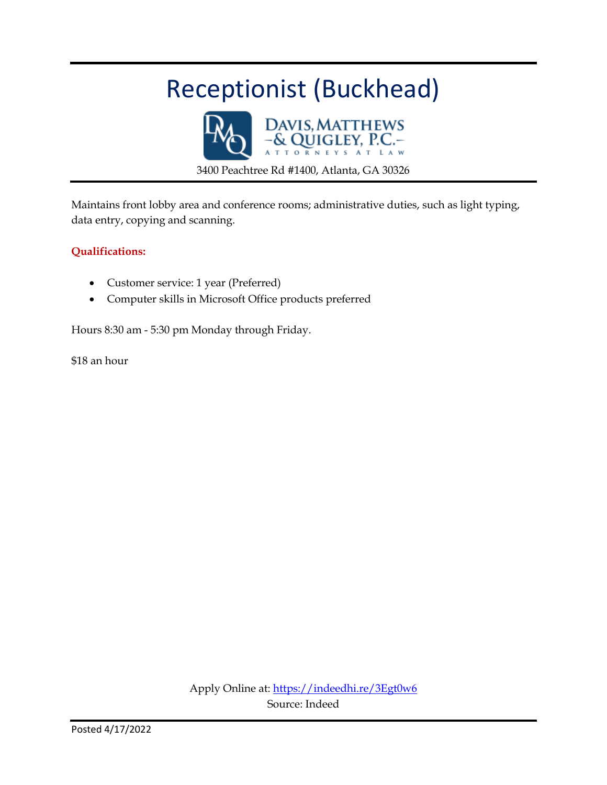## Receptionist (Buckhead)



Maintains front lobby area and conference rooms; administrative duties, such as light typing, data entry, copying and scanning.

#### **Qualifications:**

- Customer service: 1 year (Preferred)
- Computer skills in Microsoft Office products preferred

Hours 8:30 am - 5:30 pm Monday through Friday.

\$18 an hour

Apply Online at:<https://indeedhi.re/3Egt0w6> Source: Indeed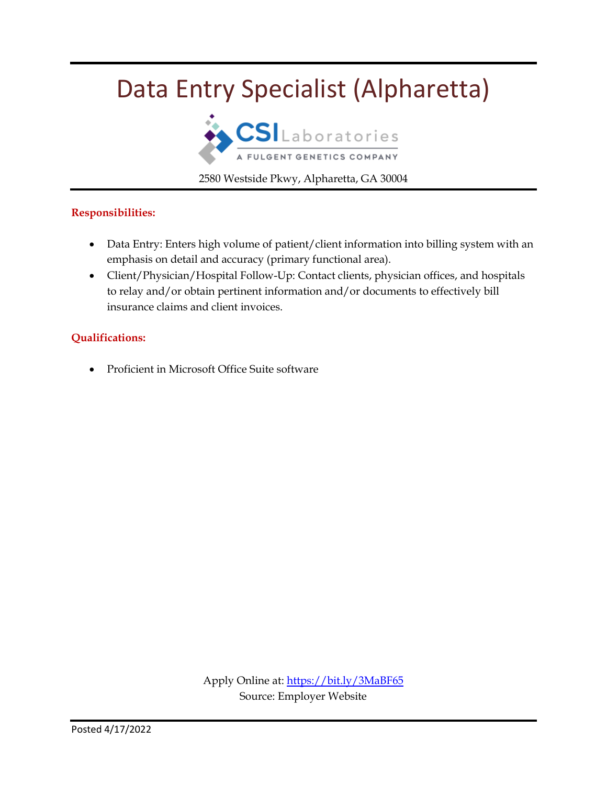## Data Entry Specialist (Alpharetta)



2580 Westside Pkwy, Alpharetta, GA 30004

#### **Responsibilities:**

- Data Entry: Enters high volume of patient/client information into billing system with an emphasis on detail and accuracy (primary functional area).
- Client/Physician/Hospital Follow-Up: Contact clients, physician offices, and hospitals to relay and/or obtain pertinent information and/or documents to effectively bill insurance claims and client invoices.

#### **Qualifications:**

Proficient in Microsoft Office Suite software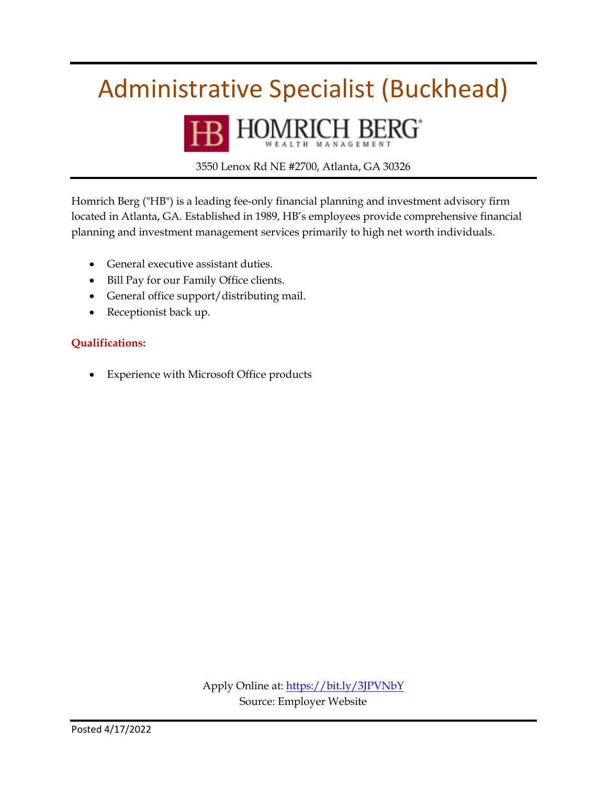## Administrative Specialist (Buckhead)



3550 Lenox Rd NE #2700, Atlanta, GA 30326

Homrich Berg ("HB") is a leading fee-only financial planning and investment advisory firm located in Atlanta, GA. Established in 1989, HB's employees provide comprehensive financial planning and investment management services primarily to high net worth individuals.

- General executive assistant duties.
- Bill Pay for our Family Office clients.
- General office support/distributing mail.
- Receptionist back up.

#### **Qualifications:**

Experience with Microsoft Office products

Apply Online at[: https://bit.ly/3JPVNbY](https://bit.ly/3JPVNbY) Source: Employer Website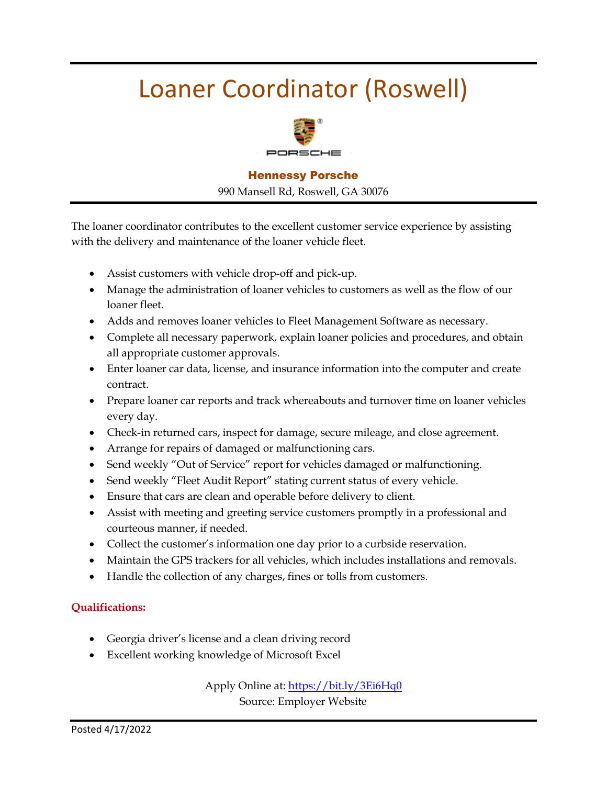## Loaner Coordinator (Roswell)



#### Hennessy Porsche

990 Mansell Rd, Roswell, GA 30076

The loaner coordinator contributes to the excellent customer service experience by assisting with the delivery and maintenance of the loaner vehicle fleet.

- Assist customers with vehicle drop-off and pick-up.
- Manage the administration of loaner vehicles to customers as well as the flow of our loaner fleet.
- Adds and removes loaner vehicles to Fleet Management Software as necessary.
- Complete all necessary paperwork, explain loaner policies and procedures, and obtain all appropriate customer approvals.
- Enter loaner car data, license, and insurance information into the computer and create contract.
- Prepare loaner car reports and track whereabouts and turnover time on loaner vehicles every day.
- Check-in returned cars, inspect for damage, secure mileage, and close agreement.
- Arrange for repairs of damaged or malfunctioning cars.
- Send weekly "Out of Service" report for vehicles damaged or malfunctioning.
- Send weekly "Fleet Audit Report" stating current status of every vehicle.
- Ensure that cars are clean and operable before delivery to client.
- Assist with meeting and greeting service customers promptly in a professional and courteous manner, if needed.
- Collect the customer's information one day prior to a curbside reservation.
- Maintain the GPS trackers for all vehicles, which includes installations and removals.
- Handle the collection of any charges, fines or tolls from customers.

#### **Qualifications:**

- Georgia driver's license and a clean driving record
- Excellent working knowledge of Microsoft Excel

Apply Online at:<https://bit.ly/3Ei6Hq0>

Source: Employer Website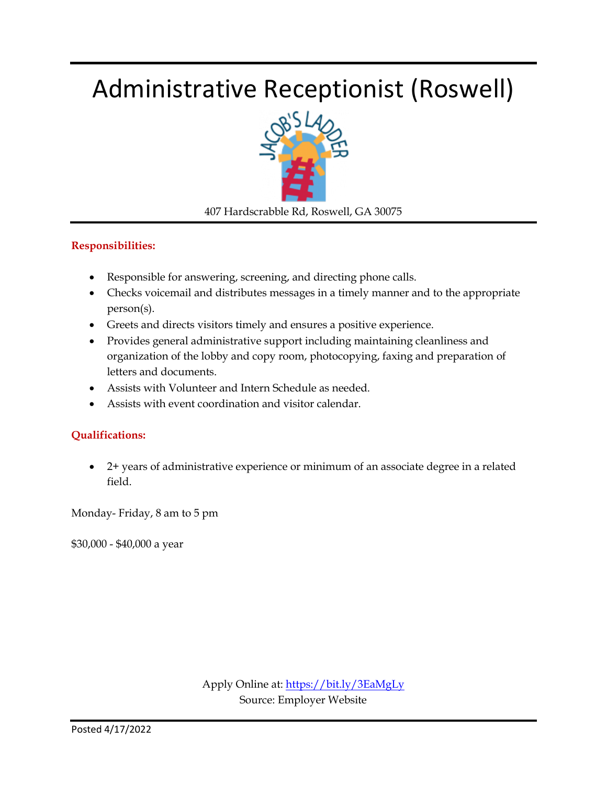## Administrative Receptionist (Roswell)



407 Hardscrabble Rd, Roswell, GA 30075

#### **Responsibilities:**

- Responsible for answering, screening, and directing phone calls.
- Checks voicemail and distributes messages in a timely manner and to the appropriate person(s).
- Greets and directs visitors timely and ensures a positive experience.
- Provides general administrative support including maintaining cleanliness and organization of the lobby and copy room, photocopying, faxing and preparation of letters and documents.
- Assists with Volunteer and Intern Schedule as needed.
- Assists with event coordination and visitor calendar.

#### **Qualifications:**

 2+ years of administrative experience or minimum of an associate degree in a related field.

Monday- Friday, 8 am to 5 pm

\$30,000 - \$40,000 a year

Apply Online at:<https://bit.ly/3EaMgLy> Source: Employer Website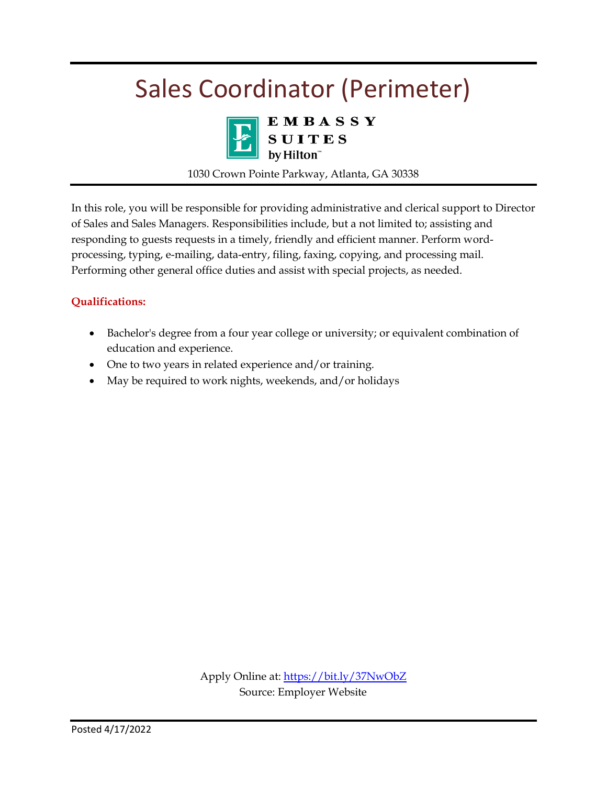## Sales Coordinator (Perimeter)



E M B A S S Y<br>S U I T E S<br>by Hilton"

1030 Crown Pointe Parkway, Atlanta, GA 30338

In this role, you will be responsible for providing administrative and clerical support to Director of Sales and Sales Managers. Responsibilities include, but a not limited to; assisting and responding to guests requests in a timely, friendly and efficient manner. Perform wordprocessing, typing, e-mailing, data-entry, filing, faxing, copying, and processing mail. Performing other general office duties and assist with special projects, as needed.

#### **Qualifications:**

- Bachelor's degree from a four year college or university; or equivalent combination of education and experience.
- One to two years in related experience and/or training.
- May be required to work nights, weekends, and/or holidays

Apply Online at:<https://bit.ly/37NwObZ> Source: Employer Website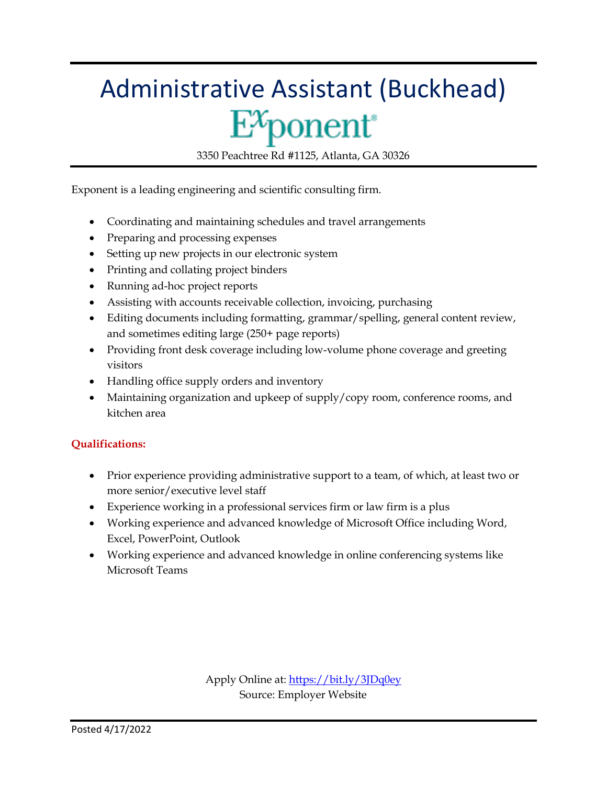# Administrative Assistant (Buckhead)  $E^x$ ponent

3350 Peachtree Rd #1125, Atlanta, GA 30326

Exponent is a leading engineering and scientific consulting firm.

- Coordinating and maintaining schedules and travel arrangements
- Preparing and processing expenses
- Setting up new projects in our electronic system
- Printing and collating project binders
- Running ad-hoc project reports
- Assisting with accounts receivable collection, invoicing, purchasing
- Editing documents including formatting, grammar/spelling, general content review, and sometimes editing large (250+ page reports)
- Providing front desk coverage including low-volume phone coverage and greeting visitors
- Handling office supply orders and inventory
- Maintaining organization and upkeep of supply/copy room, conference rooms, and kitchen area

#### **Qualifications:**

- Prior experience providing administrative support to a team, of which, at least two or more senior/executive level staff
- Experience working in a professional services firm or law firm is a plus
- Working experience and advanced knowledge of Microsoft Office including Word, Excel, PowerPoint, Outlook
- Working experience and advanced knowledge in online conferencing systems like Microsoft Teams

Apply Online at[: https://bit.ly/3JDq0ey](https://bit.ly/3JDq0ey) Source: Employer Website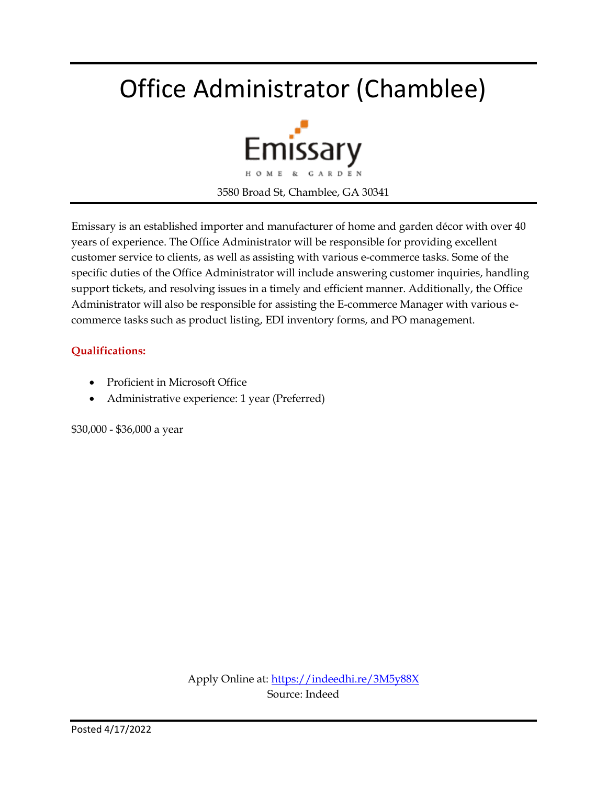## Office Administrator (Chamblee)



Emissary is an established importer and manufacturer of home and garden décor with over 40 years of experience. The Office Administrator will be responsible for providing excellent customer service to clients, as well as assisting with various e-commerce tasks. Some of the specific duties of the Office Administrator will include answering customer inquiries, handling support tickets, and resolving issues in a timely and efficient manner. Additionally, the Office Administrator will also be responsible for assisting the E-commerce Manager with various ecommerce tasks such as product listing, EDI inventory forms, and PO management.

#### **Qualifications:**

- Proficient in Microsoft Office
- Administrative experience: 1 year (Preferred)

\$30,000 - \$36,000 a year

Apply Online at[: https://indeedhi.re/3M5y88X](https://indeedhi.re/3M5y88X) Source: Indeed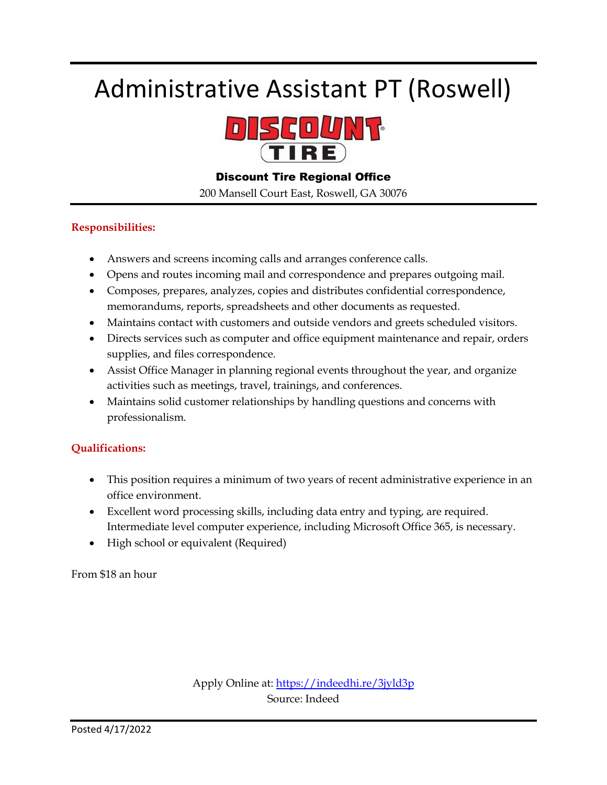## Administrative Assistant PT (Roswell)



#### Discount Tire Regional Office

200 Mansell Court East, Roswell, GA 30076

#### **Responsibilities:**

- Answers and screens incoming calls and arranges conference calls.
- Opens and routes incoming mail and correspondence and prepares outgoing mail.
- Composes, prepares, analyzes, copies and distributes confidential correspondence, memorandums, reports, spreadsheets and other documents as requested.
- Maintains contact with customers and outside vendors and greets scheduled visitors.
- Directs services such as computer and office equipment maintenance and repair, orders supplies, and files correspondence.
- Assist Office Manager in planning regional events throughout the year, and organize activities such as meetings, travel, trainings, and conferences.
- Maintains solid customer relationships by handling questions and concerns with professionalism.

#### **Qualifications:**

- This position requires a minimum of two years of recent administrative experience in an office environment.
- Excellent word processing skills, including data entry and typing, are required. Intermediate level computer experience, including Microsoft Office 365, is necessary.
- High school or equivalent (Required)

From \$18 an hour

Apply Online at:<https://indeedhi.re/3jyld3p> Source: Indeed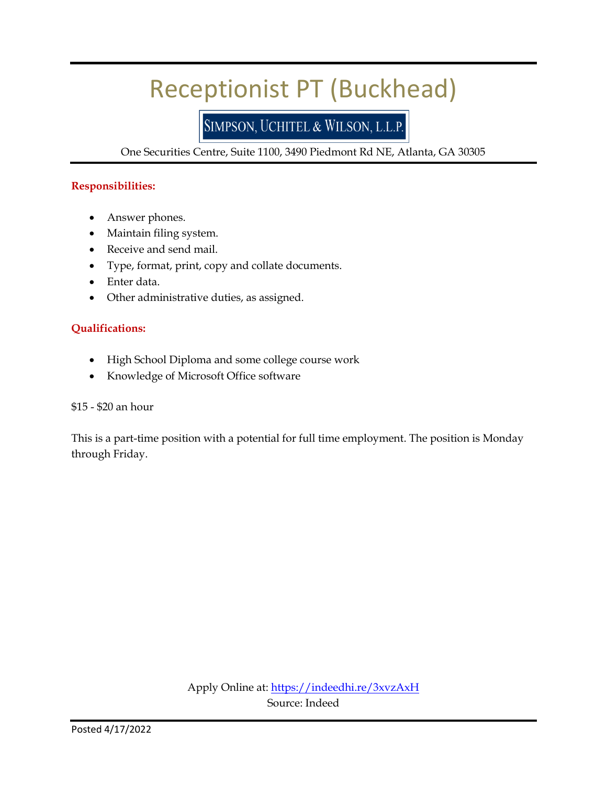## Receptionist PT (Buckhead)

### SIMPSON, UCHITEL & WILSON, L.L.P.

One Securities Centre, Suite 1100, 3490 Piedmont Rd NE, Atlanta, GA 30305

#### **Responsibilities:**

- Answer phones.
- Maintain filing system.
- Receive and send mail.
- Type, format, print, copy and collate documents.
- Enter data.
- Other administrative duties, as assigned.

#### **Qualifications:**

- High School Diploma and some college course work
- Knowledge of Microsoft Office software

#### \$15 - \$20 an hour

This is a part-time position with a potential for full time employment. The position is Monday through Friday.

> Apply Online at:<https://indeedhi.re/3xvzAxH> Source: Indeed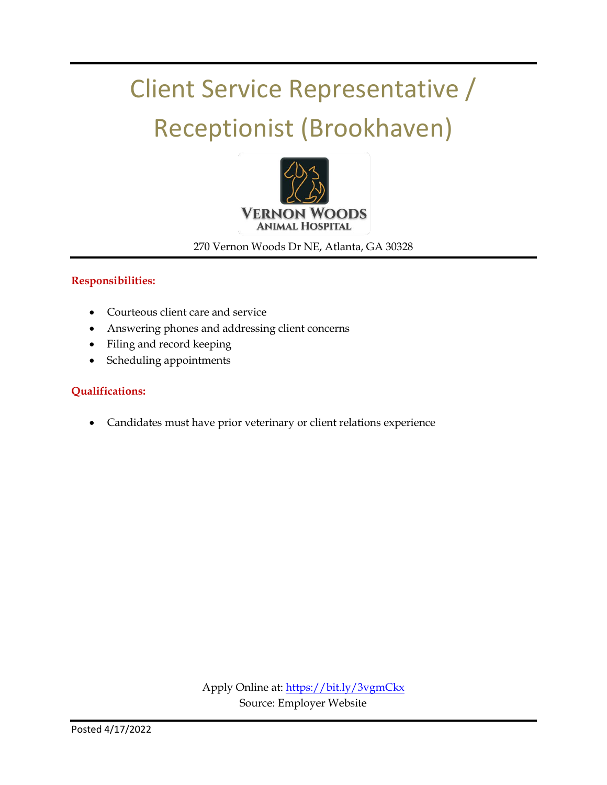## Client Service Representative / Receptionist (Brookhaven)



270 Vernon Woods Dr NE, Atlanta, GA 30328

#### **Responsibilities:**

- Courteous client care and service
- Answering phones and addressing client concerns
- Filing and record keeping
- Scheduling appointments

#### **Qualifications:**

Candidates must have prior veterinary or client relations experience

Apply Online at:<https://bit.ly/3vgmCkx> Source: Employer Website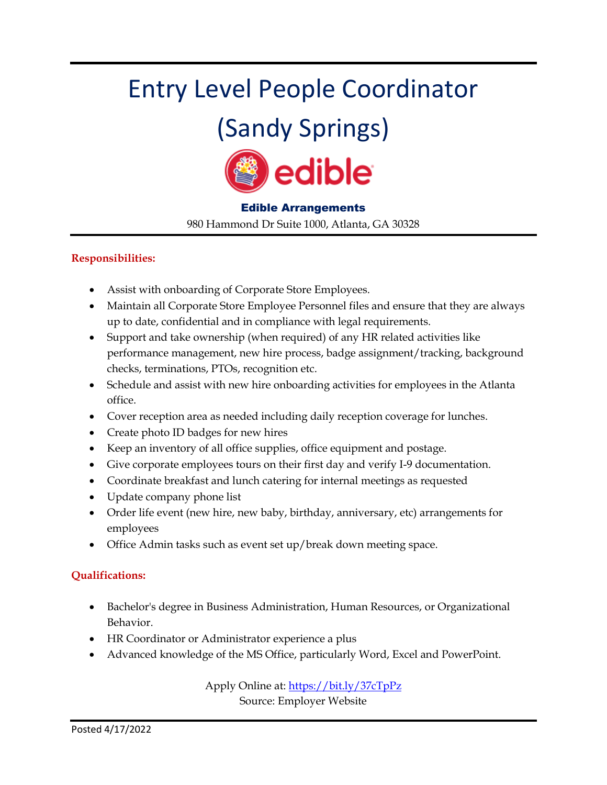# Entry Level People Coordinator

## (Sandy Springs)



#### Edible Arrangements

980 Hammond Dr Suite 1000, Atlanta, GA 30328

#### **Responsibilities:**

- Assist with onboarding of Corporate Store Employees.
- Maintain all Corporate Store Employee Personnel files and ensure that they are always up to date, confidential and in compliance with legal requirements.
- Support and take ownership (when required) of any HR related activities like performance management, new hire process, badge assignment/tracking, background checks, terminations, PTOs, recognition etc.
- Schedule and assist with new hire onboarding activities for employees in the Atlanta office.
- Cover reception area as needed including daily reception coverage for lunches.
- Create photo ID badges for new hires
- Keep an inventory of all office supplies, office equipment and postage.
- Give corporate employees tours on their first day and verify I-9 documentation.
- Coordinate breakfast and lunch catering for internal meetings as requested
- Update company phone list
- Order life event (new hire, new baby, birthday, anniversary, etc) arrangements for employees
- Office Admin tasks such as event set up/break down meeting space.

#### **Qualifications:**

- Bachelor's degree in Business Administration, Human Resources, or Organizational Behavior.
- HR Coordinator or Administrator experience a plus
- Advanced knowledge of the MS Office, particularly Word, Excel and PowerPoint.

Apply Online at:<https://bit.ly/37cTpPz>

Source: Employer Website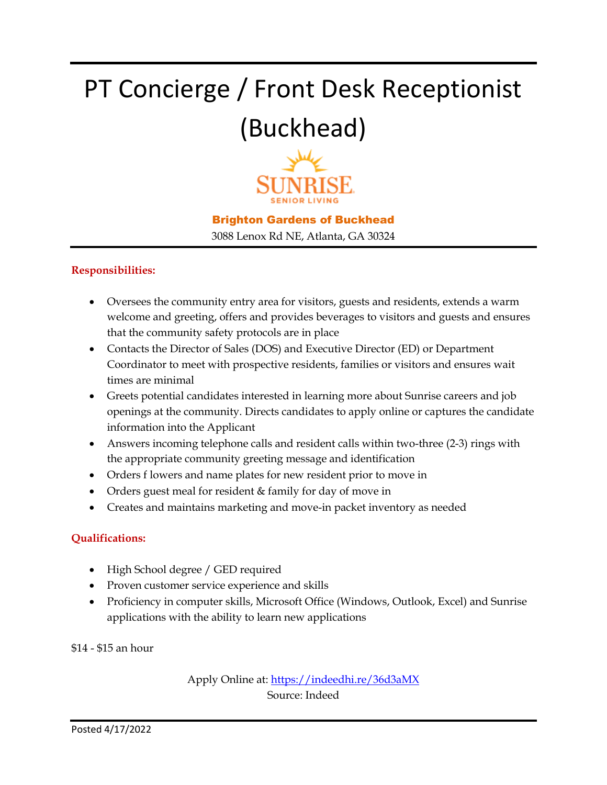# PT Concierge / Front Desk Receptionist (Buckhead)



#### Brighton Gardens of Buckhead

3088 Lenox Rd NE, Atlanta, GA 30324

#### **Responsibilities:**

- Oversees the community entry area for visitors, guests and residents, extends a warm welcome and greeting, offers and provides beverages to visitors and guests and ensures that the community safety protocols are in place
- Contacts the Director of Sales (DOS) and Executive Director (ED) or Department Coordinator to meet with prospective residents, families or visitors and ensures wait times are minimal
- Greets potential candidates interested in learning more about Sunrise careers and job openings at the community. Directs candidates to apply online or captures the candidate information into the Applicant
- Answers incoming telephone calls and resident calls within two-three (2-3) rings with the appropriate community greeting message and identification
- Orders f lowers and name plates for new resident prior to move in
- Orders guest meal for resident & family for day of move in
- Creates and maintains marketing and move-in packet inventory as needed

#### **Qualifications:**

- High School degree / GED required
- Proven customer service experience and skills
- Proficiency in computer skills, Microsoft Office (Windows, Outlook, Excel) and Sunrise applications with the ability to learn new applications

\$14 - \$15 an hour

Apply Online at:<https://indeedhi.re/36d3aMX> Source: Indeed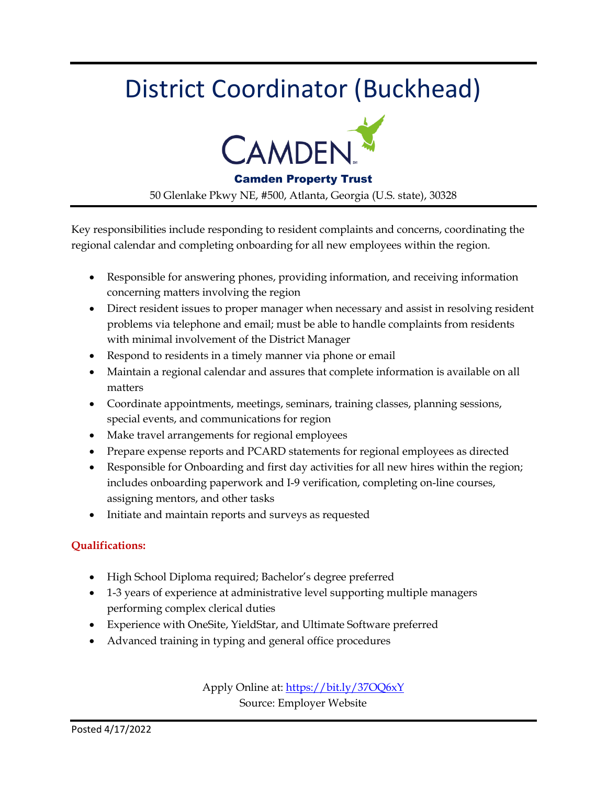## District Coordinator (Buckhead)



#### Camden Property Trust

50 Glenlake Pkwy NE, #500, Atlanta, Georgia (U.S. state), 30328

Key responsibilities include responding to resident complaints and concerns, coordinating the regional calendar and completing onboarding for all new employees within the region.

- Responsible for answering phones, providing information, and receiving information concerning matters involving the region
- Direct resident issues to proper manager when necessary and assist in resolving resident problems via telephone and email; must be able to handle complaints from residents with minimal involvement of the District Manager
- Respond to residents in a timely manner via phone or email
- Maintain a regional calendar and assures that complete information is available on all matters
- Coordinate appointments, meetings, seminars, training classes, planning sessions, special events, and communications for region
- Make travel arrangements for regional employees
- Prepare expense reports and PCARD statements for regional employees as directed
- Responsible for Onboarding and first day activities for all new hires within the region; includes onboarding paperwork and I-9 verification, completing on-line courses, assigning mentors, and other tasks
- Initiate and maintain reports and surveys as requested

#### **Qualifications:**

- High School Diploma required; Bachelor's degree preferred
- 1-3 years of experience at administrative level supporting multiple managers performing complex clerical duties
- Experience with OneSite, YieldStar, and Ultimate Software preferred
- Advanced training in typing and general office procedures

Apply Online at:<https://bit.ly/37OQ6xY> Source: Employer Website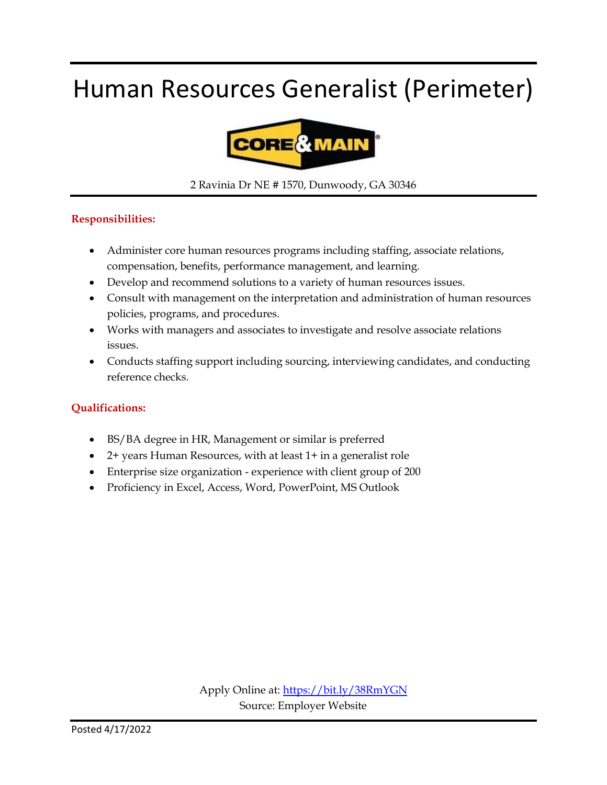## Human Resources Generalist (Perimeter)



2 Ravinia Dr NE # 1570, Dunwoody, GA 30346

#### **Responsibilities:**

- Administer core human resources programs including staffing, associate relations, compensation, benefits, performance management, and learning.
- Develop and recommend solutions to a variety of human resources issues.
- Consult with management on the interpretation and administration of human resources policies, programs, and procedures.
- Works with managers and associates to investigate and resolve associate relations issues.
- Conducts staffing support including sourcing, interviewing candidates, and conducting reference checks.

#### **Qualifications:**

- BS/BA degree in HR, Management or similar is preferred
- 2+ years Human Resources, with at least 1+ in a generalist role
- Enterprise size organization experience with client group of 200
- Proficiency in Excel, Access, Word, PowerPoint, MS Outlook

Apply Online at:<https://bit.ly/38RmYGN> Source: Employer Website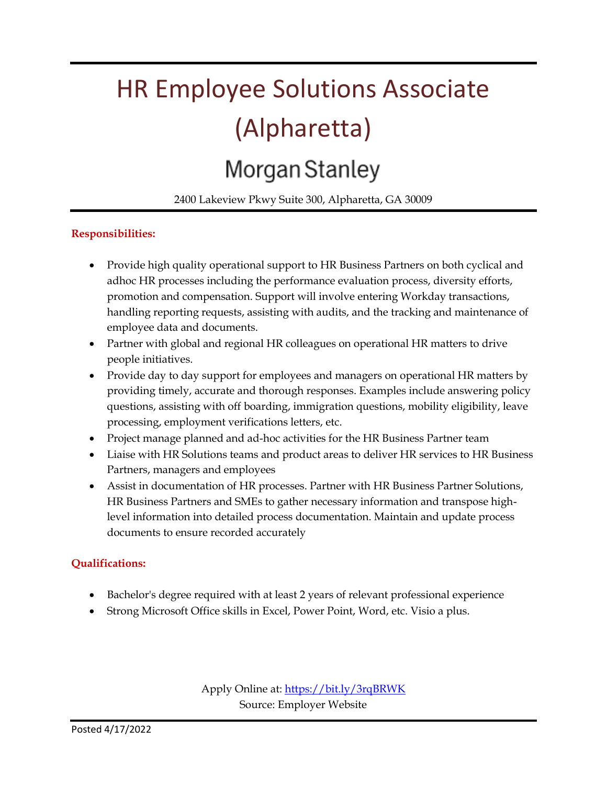# HR Employee Solutions Associate (Alpharetta) Morgan Stanley

### 2400 Lakeview Pkwy Suite 300, Alpharetta, GA 30009

### **Responsibilities:**

- Provide high quality operational support to HR Business Partners on both cyclical and adhoc HR processes including the performance evaluation process, diversity efforts, promotion and compensation. Support will involve entering Workday transactions, handling reporting requests, assisting with audits, and the tracking and maintenance of employee data and documents.
- Partner with global and regional HR colleagues on operational HR matters to drive people initiatives.
- Provide day to day support for employees and managers on operational HR matters by providing timely, accurate and thorough responses. Examples include answering policy questions, assisting with off boarding, immigration questions, mobility eligibility, leave processing, employment verifications letters, etc.
- Project manage planned and ad-hoc activities for the HR Business Partner team
- Liaise with HR Solutions teams and product areas to deliver HR services to HR Business Partners, managers and employees
- Assist in documentation of HR processes. Partner with HR Business Partner Solutions, HR Business Partners and SMEs to gather necessary information and transpose highlevel information into detailed process documentation. Maintain and update process documents to ensure recorded accurately

#### **Qualifications:**

- Bachelor's degree required with at least 2 years of relevant professional experience
- Strong Microsoft Office skills in Excel, Power Point, Word, etc. Visio a plus.

Apply Online at:<https://bit.ly/3rqBRWK> Source: Employer Website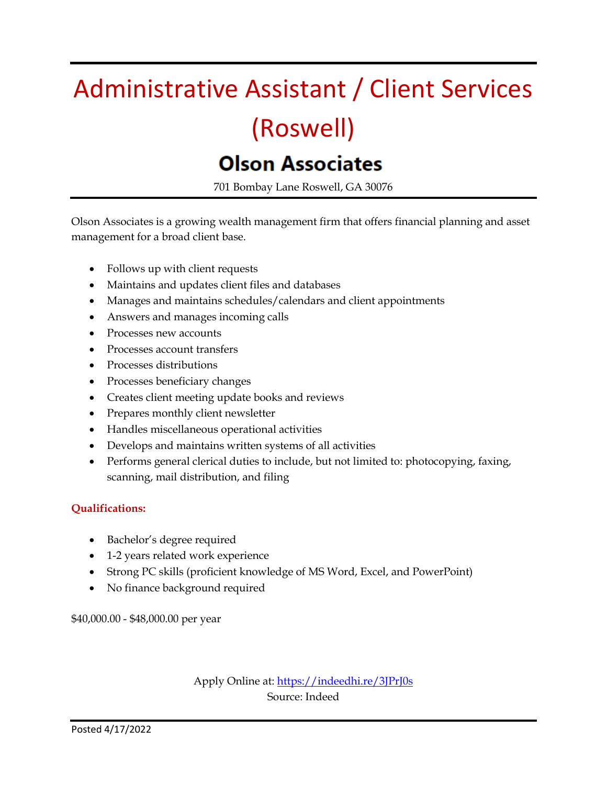# Administrative Assistant / Client Services (Roswell)

### **Olson Associates**

701 Bombay Lane Roswell, GA 30076

Olson Associates is a growing wealth management firm that offers financial planning and asset management for a broad client base.

- Follows up with client requests
- Maintains and updates client files and databases
- Manages and maintains schedules/calendars and client appointments
- Answers and manages incoming calls
- Processes new accounts
- Processes account transfers
- Processes distributions
- Processes beneficiary changes
- Creates client meeting update books and reviews
- Prepares monthly client newsletter
- Handles miscellaneous operational activities
- Develops and maintains written systems of all activities
- Performs general clerical duties to include, but not limited to: photocopying, faxing, scanning, mail distribution, and filing

#### **Qualifications:**

- Bachelor's degree required
- 1-2 years related work experience
- Strong PC skills (proficient knowledge of MS Word, Excel, and PowerPoint)
- No finance background required

\$40,000.00 - \$48,000.00 per year

Apply Online at:<https://indeedhi.re/3JPrJ0s> Source: Indeed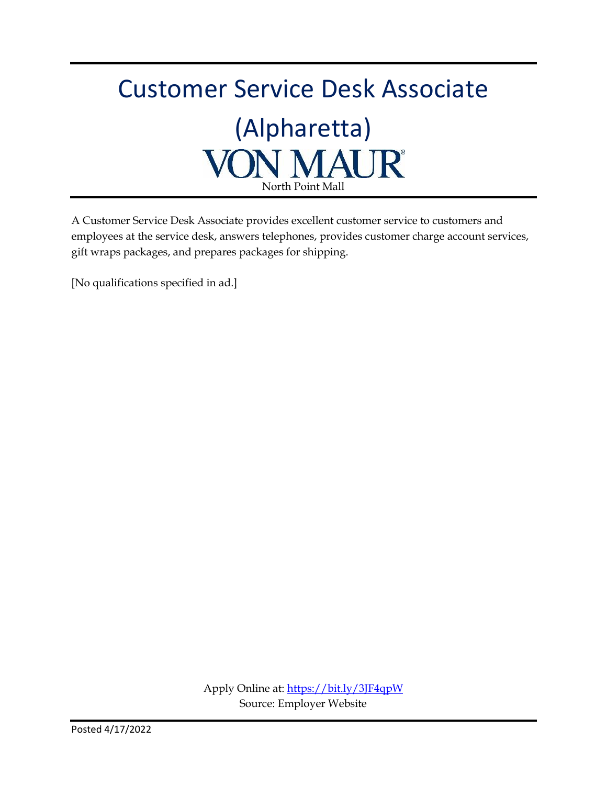## Customer Service Desk Associate (Alpharetta) **VON MAUR®** North Point Mall

A Customer Service Desk Associate provides excellent customer service to customers and employees at the service desk, answers telephones, provides customer charge account services, gift wraps packages, and prepares packages for shipping.

[No qualifications specified in ad.]

Apply Online at[: https://bit.ly/3JF4qpW](https://bit.ly/3JF4qpW) Source: Employer Website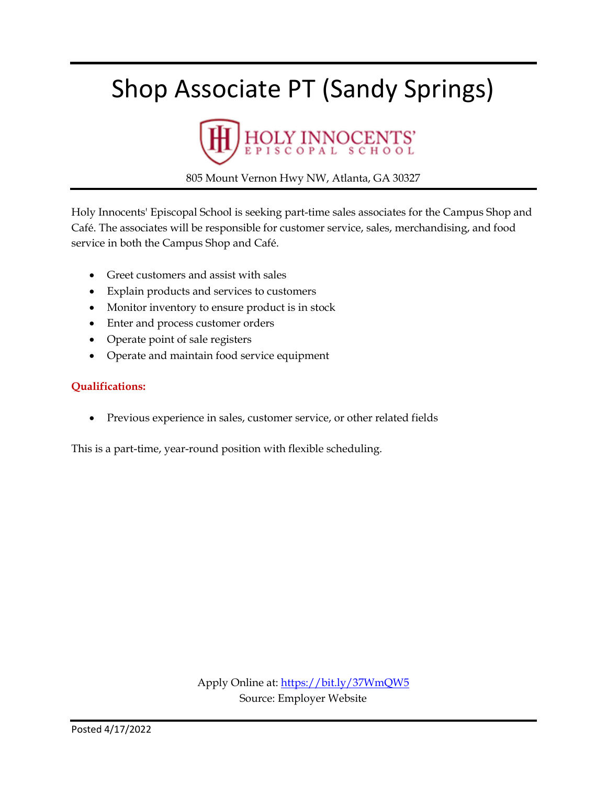## Shop Associate PT (Sandy Springs)



805 Mount Vernon Hwy NW, Atlanta, GA 30327

Holy Innocents' Episcopal School is seeking part-time sales associates for the Campus Shop and Café. The associates will be responsible for customer service, sales, merchandising, and food service in both the Campus Shop and Café.

- Greet customers and assist with sales
- Explain products and services to customers
- Monitor inventory to ensure product is in stock
- Enter and process customer orders
- Operate point of sale registers
- Operate and maintain food service equipment

#### **Qualifications:**

• Previous experience in sales, customer service, or other related fields

This is a part-time, year-round position with flexible scheduling.

Apply Online at:<https://bit.ly/37WmQW5> Source: Employer Website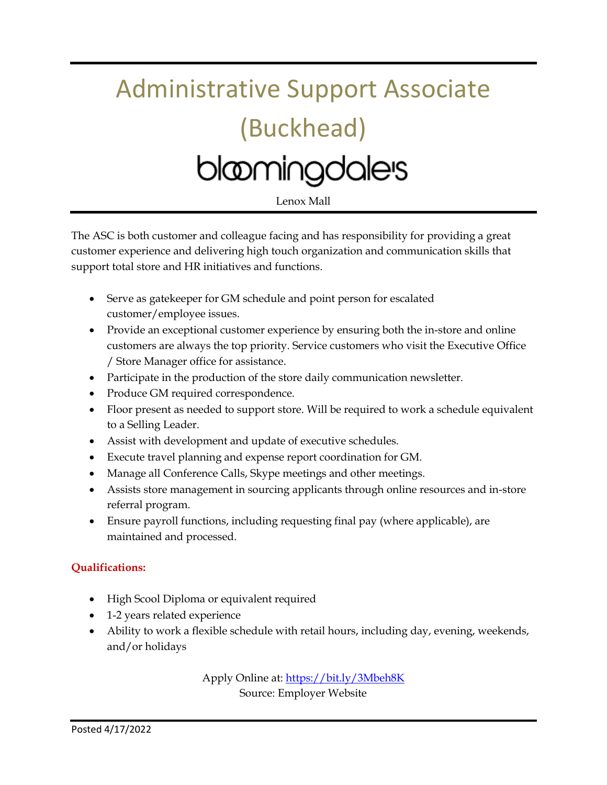# Administrative Support Associate (Buckhead) blomingdales

Lenox Mall

The ASC is both customer and colleague facing and has responsibility for providing a great customer experience and delivering high touch organization and communication skills that support total store and HR initiatives and functions.

- Serve as gatekeeper for GM schedule and point person for escalated customer/employee issues.
- Provide an exceptional customer experience by ensuring both the in-store and online customers are always the top priority. Service customers who visit the Executive Office / Store Manager office for assistance.
- Participate in the production of the store daily communication newsletter.
- Produce GM required correspondence.
- Floor present as needed to support store. Will be required to work a schedule equivalent to a Selling Leader.
- Assist with development and update of executive schedules.
- Execute travel planning and expense report coordination for GM.
- Manage all Conference Calls, Skype meetings and other meetings.
- Assists store management in sourcing applicants through online resources and in-store referral program.
- Ensure payroll functions, including requesting final pay (where applicable), are maintained and processed.

#### **Qualifications:**

- High Scool Diploma or equivalent required
- 1-2 years related experience
- Ability to work a flexible schedule with retail hours, including day, evening, weekends, and/or holidays

Apply Online at:<https://bit.ly/3Mbeh8K> Source: Employer Website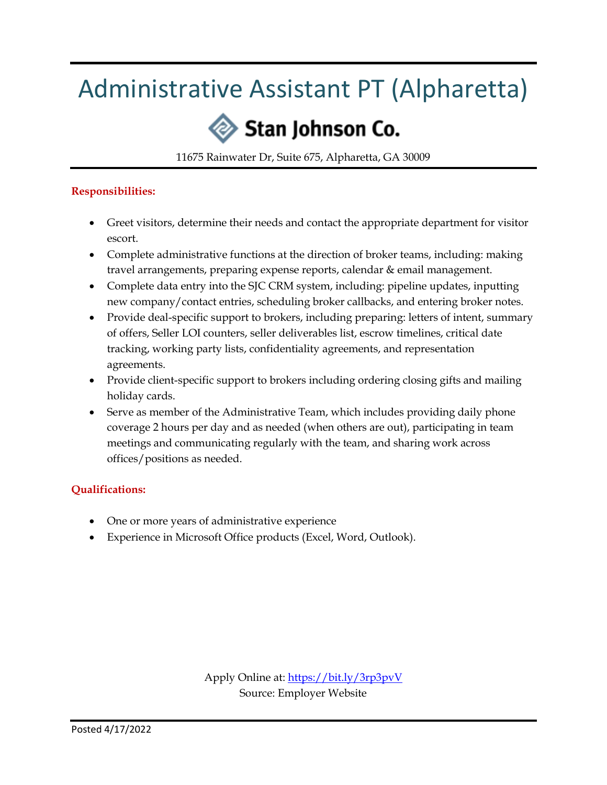## Administrative Assistant PT (Alpharetta)

## Stan Johnson Co.

11675 Rainwater Dr, Suite 675, Alpharetta, GA 30009

#### **Responsibilities:**

- Greet visitors, determine their needs and contact the appropriate department for visitor escort.
- Complete administrative functions at the direction of broker teams, including: making travel arrangements, preparing expense reports, calendar & email management.
- Complete data entry into the SJC CRM system, including: pipeline updates, inputting new company/contact entries, scheduling broker callbacks, and entering broker notes.
- Provide deal-specific support to brokers, including preparing: letters of intent, summary of offers, Seller LOI counters, seller deliverables list, escrow timelines, critical date tracking, working party lists, confidentiality agreements, and representation agreements.
- Provide client-specific support to brokers including ordering closing gifts and mailing holiday cards.
- Serve as member of the Administrative Team, which includes providing daily phone coverage 2 hours per day and as needed (when others are out), participating in team meetings and communicating regularly with the team, and sharing work across offices/positions as needed.

#### **Qualifications:**

- One or more years of administrative experience
- Experience in Microsoft Office products (Excel, Word, Outlook).

Apply Online at:<https://bit.ly/3rp3pvV> Source: Employer Website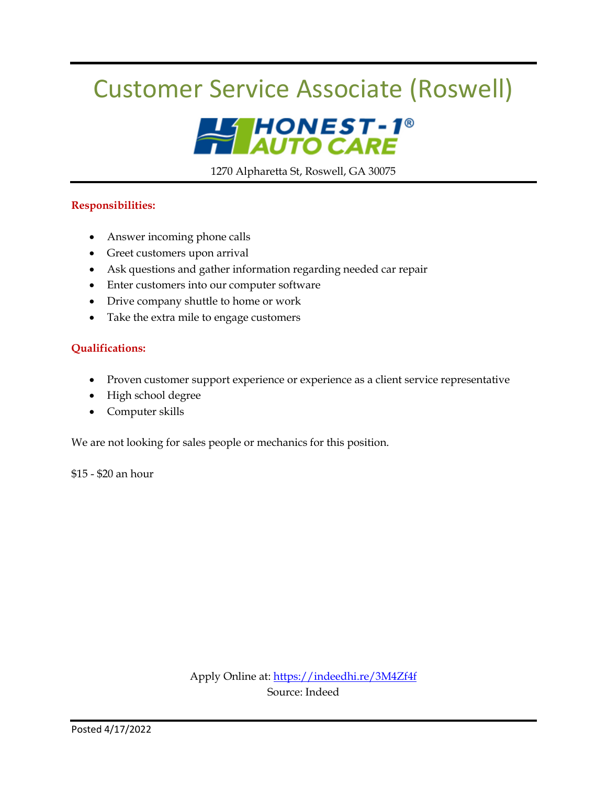## Customer Service Associate (Roswell)



1270 Alpharetta St, Roswell, GA 30075

#### **Responsibilities:**

- Answer incoming phone calls
- Greet customers upon arrival
- Ask questions and gather information regarding needed car repair
- Enter customers into our computer software
- Drive company shuttle to home or work
- Take the extra mile to engage customers

#### **Qualifications:**

- Proven customer support experience or experience as a client service representative
- High school degree
- Computer skills

We are not looking for sales people or mechanics for this position.

\$15 - \$20 an hour

Apply Online at:<https://indeedhi.re/3M4Zf4f> Source: Indeed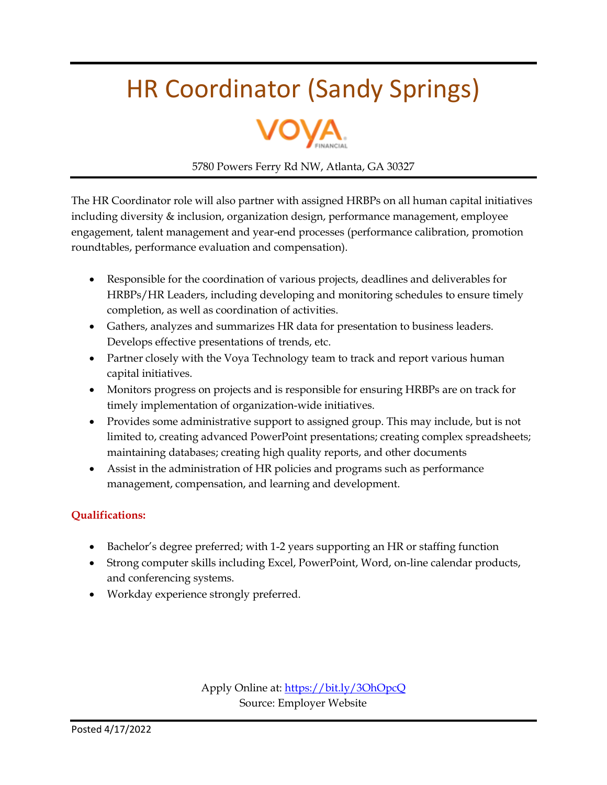## HR Coordinator (Sandy Springs)



5780 Powers Ferry Rd NW, Atlanta, GA 30327

The HR Coordinator role will also partner with assigned HRBPs on all human capital initiatives including diversity & inclusion, organization design, performance management, employee engagement, talent management and year-end processes (performance calibration, promotion roundtables, performance evaluation and compensation).

- Responsible for the coordination of various projects, deadlines and deliverables for HRBPs/HR Leaders, including developing and monitoring schedules to ensure timely completion, as well as coordination of activities.
- Gathers, analyzes and summarizes HR data for presentation to business leaders. Develops effective presentations of trends, etc.
- Partner closely with the Voya Technology team to track and report various human capital initiatives.
- Monitors progress on projects and is responsible for ensuring HRBPs are on track for timely implementation of organization-wide initiatives.
- Provides some administrative support to assigned group. This may include, but is not limited to, creating advanced PowerPoint presentations; creating complex spreadsheets; maintaining databases; creating high quality reports, and other documents
- Assist in the administration of HR policies and programs such as performance management, compensation, and learning and development.

#### **Qualifications:**

- Bachelor's degree preferred; with 1-2 years supporting an HR or staffing function
- Strong computer skills including Excel, PowerPoint, Word, on-line calendar products, and conferencing systems.
- Workday experience strongly preferred.

Apply Online at:<https://bit.ly/3OhOpcQ> Source: Employer Website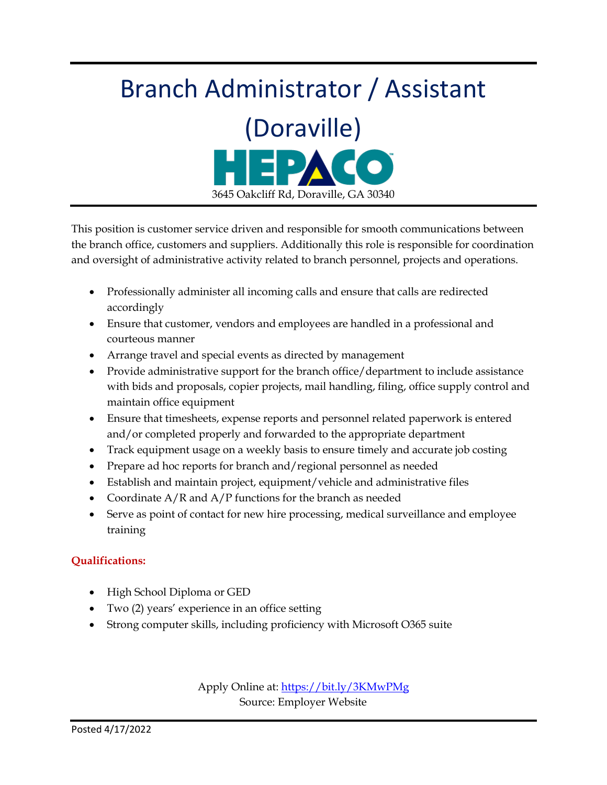# Branch Administrator / Assistant (Doraville) 3645 Oakcliff Rd, Doraville, GA 30340

This position is customer service driven and responsible for smooth communications between the branch office, customers and suppliers. Additionally this role is responsible for coordination and oversight of administrative activity related to branch personnel, projects and operations.

- Professionally administer all incoming calls and ensure that calls are redirected accordingly
- Ensure that customer, vendors and employees are handled in a professional and courteous manner
- Arrange travel and special events as directed by management
- Provide administrative support for the branch office/department to include assistance with bids and proposals, copier projects, mail handling, filing, office supply control and maintain office equipment
- Ensure that timesheets, expense reports and personnel related paperwork is entered and/or completed properly and forwarded to the appropriate department
- Track equipment usage on a weekly basis to ensure timely and accurate job costing
- Prepare ad hoc reports for branch and/regional personnel as needed
- Establish and maintain project, equipment/vehicle and administrative files
- Coordinate  $A/R$  and  $A/P$  functions for the branch as needed
- Serve as point of contact for new hire processing, medical surveillance and employee training

#### **Qualifications:**

- High School Diploma or GED
- Two (2) years' experience in an office setting
- Strong computer skills, including proficiency with Microsoft O365 suite

Apply Online at:<https://bit.ly/3KMwPMg> Source: Employer Website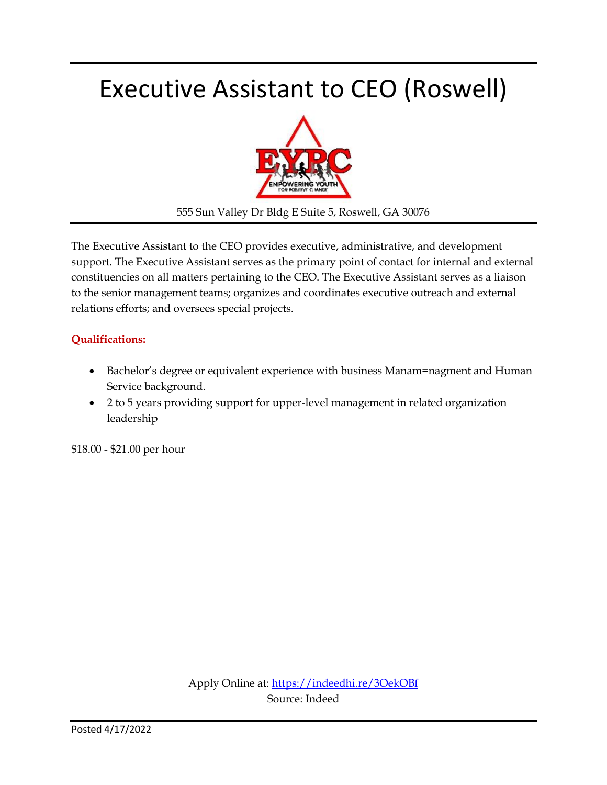## Executive Assistant to CEO (Roswell)



555 Sun Valley Dr Bldg E Suite 5, Roswell, GA 30076

The Executive Assistant to the CEO provides executive, administrative, and development support. The Executive Assistant serves as the primary point of contact for internal and external constituencies on all matters pertaining to the CEO. The Executive Assistant serves as a liaison to the senior management teams; organizes and coordinates executive outreach and external relations efforts; and oversees special projects.

#### **Qualifications:**

- Bachelor's degree or equivalent experience with business Manam=nagment and Human Service background.
- 2 to 5 years providing support for upper-level management in related organization leadership

\$18.00 - \$21.00 per hour

Apply Online at:<https://indeedhi.re/3OekOBf> Source: Indeed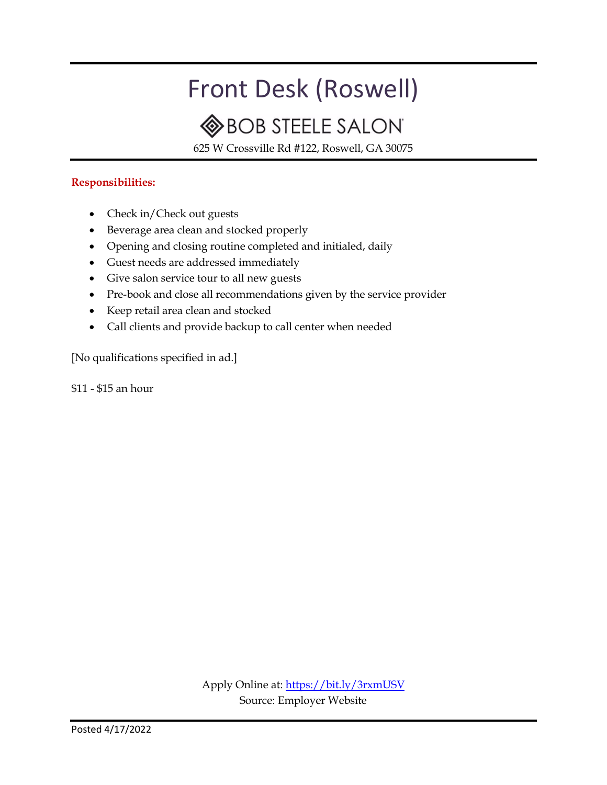## Front Desk (Roswell)

### **BOB STEELE SALON**

625 W Crossville Rd #122, Roswell, GA 30075

#### **Responsibilities:**

- Check in/Check out guests
- Beverage area clean and stocked properly
- Opening and closing routine completed and initialed, daily
- Guest needs are addressed immediately
- Give salon service tour to all new guests
- Pre-book and close all recommendations given by the service provider
- Keep retail area clean and stocked
- Call clients and provide backup to call center when needed

[No qualifications specified in ad.]

\$11 - \$15 an hour

Apply Online at:<https://bit.ly/3rxmUSV> Source: Employer Website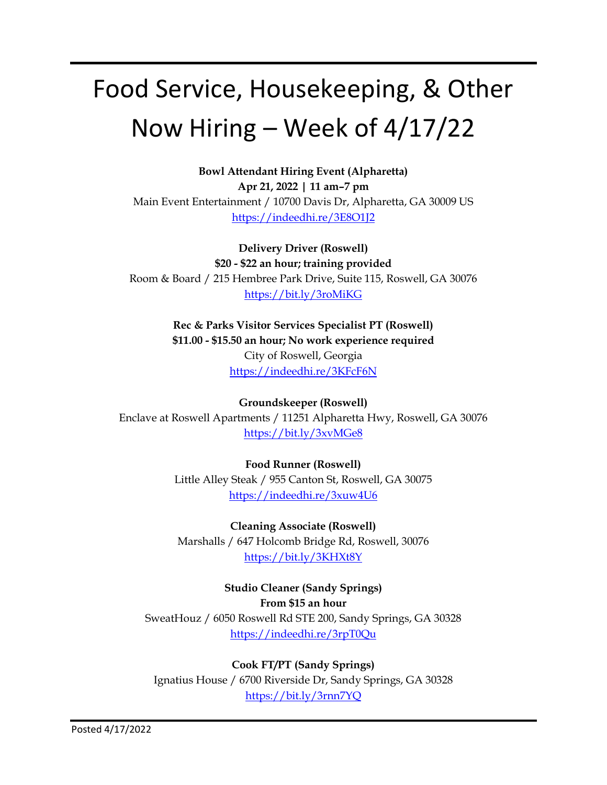## Food Service, Housekeeping, & Other Now Hiring – Week of 4/17/22

**Bowl Attendant Hiring Event (Alpharetta) Apr 21, 2022 | 11 am–7 pm** Main Event Entertainment / 10700 Davis Dr, Alpharetta, GA 30009 US <https://indeedhi.re/3E8O1J2>

**Delivery Driver (Roswell) \$20 - \$22 an hour; training provided** Room & Board / 215 Hembree Park Drive, Suite 115, Roswell, GA 30076 <https://bit.ly/3roMiKG>

> **Rec & Parks Visitor Services Specialist PT (Roswell) \$11.00 - \$15.50 an hour; No work experience required** City of Roswell, Georgia <https://indeedhi.re/3KFcF6N>

**Groundskeeper (Roswell)** Enclave at Roswell Apartments / 11251 Alpharetta Hwy, Roswell, GA 30076 <https://bit.ly/3xvMGe8>

> **Food Runner (Roswell)** Little Alley Steak / 955 Canton St, Roswell, GA 30075 <https://indeedhi.re/3xuw4U6>

**Cleaning Associate (Roswell)** Marshalls / 647 Holcomb Bridge Rd, Roswell, 30076 <https://bit.ly/3KHXt8Y>

**Studio Cleaner (Sandy Springs) From \$15 an hour** SweatHouz / 6050 Roswell Rd STE 200, Sandy Springs, GA 30328 <https://indeedhi.re/3rpT0Qu>

**Cook FT/PT (Sandy Springs)** Ignatius House / 6700 Riverside Dr, Sandy Springs, GA 30328 <https://bit.ly/3rnn7YQ>